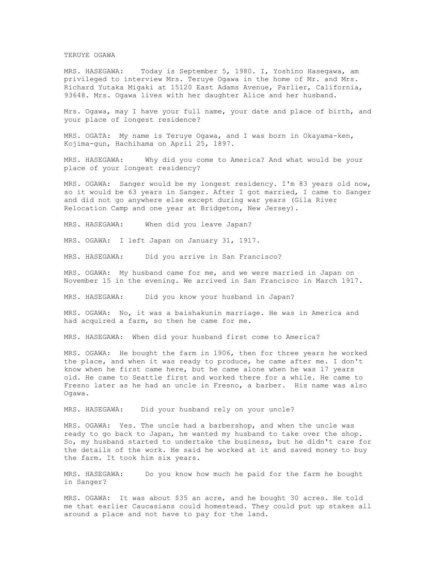## TERUYE OGAWA

MRS. HASEGAWA: Today is September 5, 1980. I, Yoshino Hasegawa, am privileged to interview Mrs. Teruye Ogawa in the home of Mr. and Mrs. Richard Yutaka Migaki at 15120 East Adams Avenue, Parlier, California, 93648. Mrs. Ogawa lives with her daughter Alice and her husband.

Mrs. Ogawa, may I have your full name, your date and place of birth, and your place of longest residence?

MRS. OGATA: My name is Teruye Ogawa, and I was born in Okayama-ken, Kojima-gun, Hachihama on April 25, 1897.

MRS. HASEGAWA: Why did you come to America? And what would be your place of your longest residency?

MRS. OGAWA: Sanger would be my longest residency. I'm 83 years old now, so it would be 63 years in Sanger. After I got married, I came to Sanger and did not go anywhere else except during war years (Gila River Relocation Camp and one year at Bridgeton, New Jersey).

MRS. HASEGAWA: When did you leave Japan?

MRS. OGAWA: I left Japan on January 31, 1917.

MRS. HASEGAWA: Did you arrive in San Francisco?

MRS. OGAWA: My husband came for me, and we were married in Japan on November 15 in the evening. We arrived in San Francisco in March 1917.

MRS. HASEGAWA: Did you know your husband in Japan?

MRS. OGAWA: No, it was a baishakunin marriage. He was in America and had acquired a farm, so then he came for me.

MRS. HASEGAWA: When did your husband first come to America?

MRS. OGAWA: He bought the farm in 1906, then for three years he worked the place, and when it was ready to produce, he came after me. I don't know when he first came here, but he came alone when he was 17 years old. He came to Seattle first and worked there for a while. He came to Fresno later as he had an uncle in Fresno, a barber. His name was also Ogawa.

MRS. HASEGAWA: Did your husband rely on your uncle?

MRS. OGAWA: Yes. The uncle had a barbershop, and when the uncle was ready to go back to Japan, he wanted my husband to take over the shop. So, my husband started to undertake the business, but he didn't care for the details of the work. He said he worked at it and saved money to buy the farm. It took him six years.

MRS. HASEGAWA: Do you know how much he paid for the farm he bought in Sanger?

MRS. OGAWA: It was about \$35 an acre, and he bought 30 acres. He told me that earlier Caucasians could homestead. They could put up stakes all around a place and not have to pay for the land.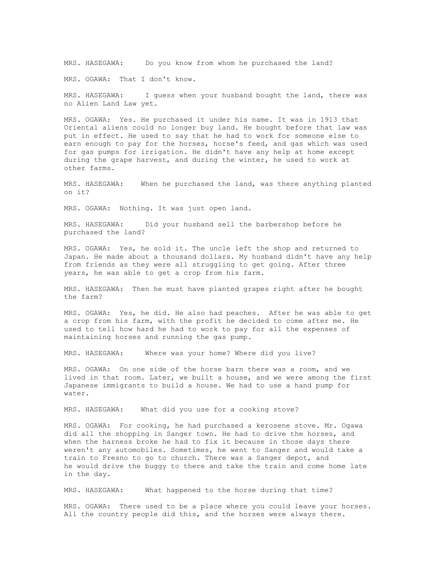MRS. HASEGAWA: Do you know from whom he purchased the land?

MRS. OGAWA: That I don't know.

MRS. HASEGAWA: I guess when your husband bought the land, there was no Alien Land Law yet.

MRS. OGAWA: Yes. He purchased it under his name. It was in 1913 that Oriental aliens could no longer buy land. He bought before that law was put in effect. He used to say that he had to work for someone else to earn enough to pay for the horses, horse's feed, and gas which was used for gas pumps for irrigation. He didn't have any help at home except during the grape harvest, and during the winter, he used to work at other farms.

MRS. HASEGAWA: When he purchased the land, was there anything planted on it?

MRS. OGAWA: Nothing. It was just open land.

MRS. HASEGAWA: Did your husband sell the barbershop before he purchased the land?

MRS. OGAWA: Yes, he sold it. The uncle left the shop and returned to Japan. He made about a thousand dollars. My husband didn't have any help from friends as they were all struggling to get going. After three years, he was able to get a crop from his farm.

MRS. HASEGAWA: Then he must have planted grapes right after he bought the farm?

MRS. OGAWA: Yes, he did. He also had peaches. After he was able to get a crop from his farm, with the profit he decided to come after me. He used to tell how hard he had to work to pay for all the expenses of maintaining horses and running the gas pump.

MRS. HASEGAWA: Where was your home? Where did you live?

MRS. OGAWA: On one side of the horse barn there was a room, and we lived in that room. Later, we built a house, and we were among the first Japanese immigrants to build a house. We had to use a hand pump for water.

MRS. HASEGAWA: What did you use for a cooking stove?

MRS. OGAWA: For cooking, he had purchased a kerosene stove. Mr. Ogawa did all the shopping in Sanger town. He had to drive the horses, and when the harness broke he had to fix it because in those days there weren't any automobiles. Sometimes, he went to Sanger and would take a train to Fresno to go to church. There was a Sanger depot, and he would drive the buggy to there and take the train and come home late in the day.

MRS. HASEGAWA: What happened to the horse during that time?

MRS. OGAWA: There used to be a place where you could leave your horses. All the country people did this, and the horses were always there.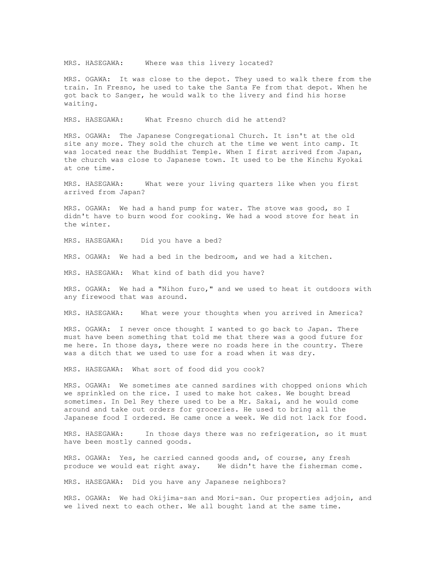MRS. HASEGAWA: Where was this livery located?

MRS. OGAWA: It was close to the depot. They used to walk there from the train. In Fresno, he used to take the Santa Fe from that depot. When he got back to Sanger, he would walk to the livery and find his horse waiting.

MRS. HASEGAWA: What Fresno church did he attend?

MRS. OGAWA: The Japanese Congregational Church. It isn't at the old site any more. They sold the church at the time we went into camp. It was located near the Buddhist Temple. When I first arrived from Japan, the church was close to Japanese town. It used to be the Kinchu Kyokai at one time.

MRS. HASEGAWA: What were your living quarters like when you first arrived from Japan?

MRS. OGAWA: We had a hand pump for water. The stove was good, so I didn't have to burn wood for cooking. We had a wood stove for heat in the winter.

MRS. HASEGAWA: Did you have a bed?

MRS. OGAWA: We had a bed in the bedroom, and we had a kitchen.

MRS. HASEGAWA: What kind of bath did you have?

MRS. OGAWA: We had a "Nihon furo," and we used to heat it outdoors with any firewood that was around.

MRS. HASEGAWA: What were your thoughts when you arrived in America?

MRS. OGAWA: I never once thought I wanted to go back to Japan. There must have been something that told me that there was a good future for me here. In those days, there were no roads here in the country. There was a ditch that we used to use for a road when it was dry.

MRS. HASEGAWA: What sort of food did you cook?

MRS. OGAWA: We sometimes ate canned sardines with chopped onions which we sprinkled on the rice. I used to make hot cakes. We bought bread sometimes. In Del Rey there used to be a Mr. Sakai, and he would come around and take out orders for groceries. He used to bring all the Japanese food I ordered. He came once a week. We did not lack for food.

MRS. HASEGAWA: In those days there was no refrigeration, so it must have been mostly canned goods.

MRS. OGAWA: Yes, he carried canned goods and, of course, any fresh produce we would eat right away. We didn't have the fisherman come.

MRS. HASEGAWA: Did you have any Japanese neighbors?

MRS. OGAWA: We had Okijima-san and Mori-san. Our properties adjoin, and we lived next to each other. We all bought land at the same time.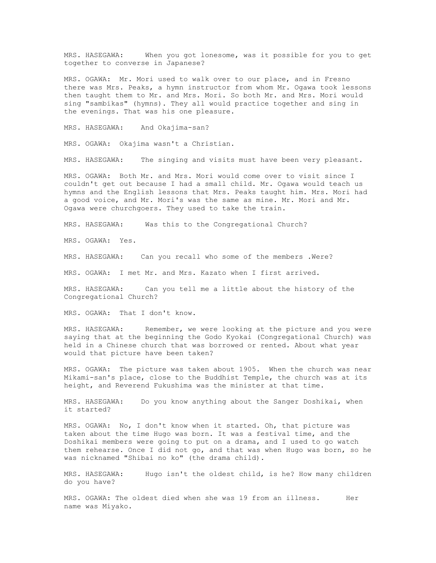MRS. HASEGAWA: When you got lonesome, was it possible for you to get together to converse in Japanese?

MRS. OGAWA: Mr. Mori used to walk over to our place, and in Fresno there was Mrs. Peaks, a hymn instructor from whom Mr. Ogawa took lessons then taught them to Mr. and Mrs. Mori. So both Mr. and Mrs. Mori would sing "sambikas" (hymns). They all would practice together and sing in the evenings. That was his one pleasure.

MRS. HASEGAWA: And Okajima-san?

MRS. OGAWA: Okajima wasn't a Christian.

MRS. HASEGAWA: The singing and visits must have been very pleasant.

MRS. OGAWA: Both Mr. and Mrs. Mori would come over to visit since I couldn't get out because I had a small child. Mr. Ogawa would teach us hymns and the English lessons that Mrs. Peaks taught him. Mrs. Mori had a good voice, and Mr. Mori's was the same as mine. Mr. Mori and Mr. Ogawa were churchgoers. They used to take the train.

MRS. HASEGAWA: Was this to the Congregational Church?

MRS. OGAWA: Yes.

MRS. HASEGAWA: Can you recall who some of the members .Were?

MRS. OGAWA: I met Mr. and Mrs. Kazato when I first arrived.

MRS. HASEGAWA: Can you tell me a little about the history of the Congregational Church?

MRS. OGAWA: That I don't know.

MRS. HASEGAWA: Remember, we were looking at the picture and you were saying that at the beginning the Godo Kyokai (Congregational Church) was held in a Chinese church that was borrowed or rented. About what year would that picture have been taken?

MRS. OGAWA: The picture was taken about 1905. When the church was near Mikami-san's place, close to the Buddhist Temple, the church was at its height, and Reverend Fukushima was the minister at that time.

MRS. HASEGAWA: Do you know anything about the Sanger Doshikai, when it started?

MRS. OGAWA: No, I don't know when it started. Oh, that picture was taken about the time Hugo was born. It was a festival time, and the Doshikai members were going to put on a drama, and I used to go watch them rehearse. Once I did not go, and that was when Hugo was born, so he was nicknamed "Shibai no ko" (the drama child).

MRS. HASEGAWA: Hugo isn't the oldest child, is he? How many children do you have?

MRS. OGAWA: The oldest died when she was 19 from an illness. Her name was Miyako.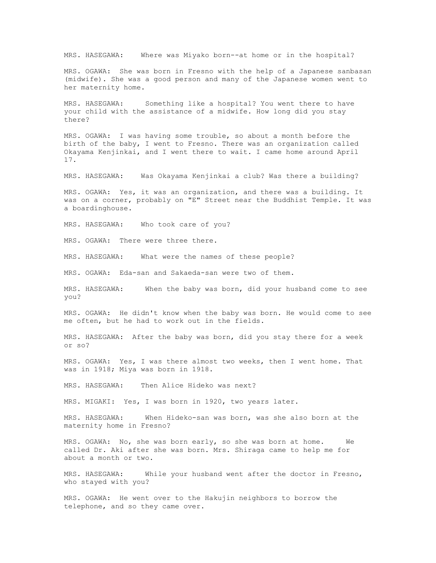MRS. HASEGAWA: Where was Miyako born--at home or in the hospital?

MRS. OGAWA: She was born in Fresno with the help of a Japanese sanbasan (midwife). She was a good person and many of the Japanese women went to her maternity home.

MRS. HASEGAWA: Something like a hospital? You went there to have your child with the assistance of a midwife. How long did you stay there?

MRS. OGAWA: I was having some trouble, so about a month before the birth of the baby, I went to Fresno. There was an organization called Okayama Kenjinkai, and I went there to wait. I came home around April 17.

MRS. HASEGAWA: Was Okayama Kenjinkai a club? Was there a building?

MRS. OGAWA: Yes, it was an organization, and there was a building. It was on a corner, probably on "E" Street near the Buddhist Temple. It was a boardinghouse.

MRS. HASEGAWA: Who took care of you?

MRS. OGAWA: There were three there.

MRS. HASEGAWA: What were the names of these people?

MRS. OGAWA: Eda-san and Sakaeda-san were two of them.

MRS. HASEGAWA: When the baby was born, did your husband come to see you?

MRS. OGAWA: He didn't know when the baby was born. He would come to see me often, but he had to work out in the fields.

MRS. HASEGAWA: After the baby was born, did you stay there for a week or so?

MRS. OGAWA: Yes, I was there almost two weeks, then I went home. That was in 1918; Miya was born in 1918.

MRS. HASEGAWA: Then Alice Hideko was next?

MRS. MIGAKI: Yes, I was born in 1920, two years later.

MRS. HASEGAWA: When Hideko-san was born, was she also born at the maternity home in Fresno?

MRS. OGAWA: No, she was born early, so she was born at home. We called Dr. Aki after she was born. Mrs. Shiraga came to help me for about a month or two.

MRS. HASEGAWA: While your husband went after the doctor in Fresno, who stayed with you?

MRS. OGAWA: He went over to the Hakujin neighbors to borrow the telephone, and so they came over.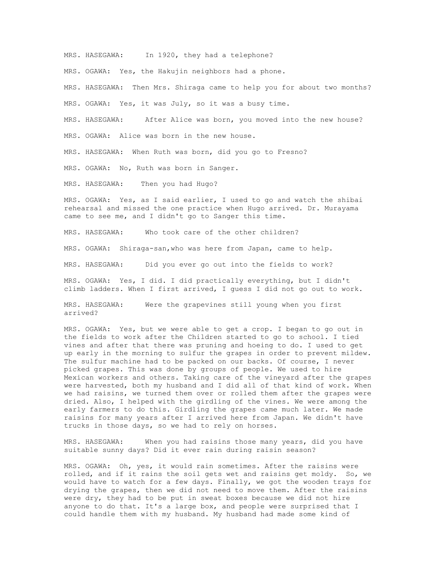MRS. HASEGAWA: In 1920, they had a telephone?

MRS. OGAWA: Yes, the Hakujin neighbors had a phone.

MRS. HASEGAWA: Then Mrs. Shiraga came to help you for about two months?

MRS. OGAWA: Yes, it was July, so it was a busy time.

MRS. HASEGAWA: After Alice was born, you moved into the new house?

MRS. OGAWA: Alice was born in the new house.

MRS. HASEGAWA: When Ruth was born, did you go to Fresno?

MRS. OGAWA: No, Ruth was born in Sanger.

MRS. HASEGAWA: Then you had Hugo?

MRS. OGAWA: Yes, as I said earlier, I used to go and watch the shibai rehearsal and missed the one practice when Hugo arrived. Dr. Murayama came to see me, and I didn't go to Sanger this time.

MRS. HASEGAWA: Who took care of the other children?

MRS. OGAWA: Shiraga-san,who was here from Japan, came to help.

MRS. HASEGAWA: Did you ever go out into the fields to work?

MRS. OGAWA: Yes, I did. I did practically everything, but I didn't climb ladders. When I first arrived, I guess I did not go out to work.

MRS. HASEGAWA: Were the grapevines still young when you first arrived?

MRS. OGAWA: Yes, but we were able to get a crop. I began to go out in the fields to work after the Children started to go to school. I tied vines and after that there was pruning and hoeing to do. I used to get up early in the morning to sulfur the grapes in order to prevent mildew. The sulfur machine had to be packed on our backs. Of course, I never picked grapes. This was done by groups of people. We used to hire Mexican workers and others. Taking care of the vineyard after the grapes were harvested, both my husband and I did all of that kind of work. When we had raisins, we turned them over or rolled them after the grapes were dried. Also, I helped with the girdling of the vines. We were among the early farmers to do this. Girdling the grapes came much later. We made raisins for many years after I arrived here from Japan. We didn't have trucks in those days, so we had to rely on horses.

MRS. HASEGAWA: When you had raisins those many years, did you have suitable sunny days? Did it ever rain during raisin season?

MRS. OGAWA: Oh, yes, it would rain sometimes. After the raisins were rolled, and if it rains the soil gets wet and raisins get moldy. So, we would have to watch for a few days. Finally, we got the wooden trays for drying the grapes, then we did not need to move them. After the raisins were dry, they had to be put in sweat boxes because we did not hire anyone to do that. It's a large box, and people were surprised that I could handle them with my husband. My husband had made some kind of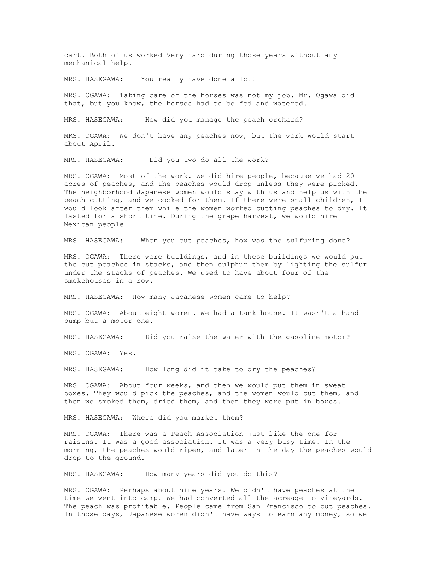cart. Both of us worked Very hard during those years without any mechanical help.

MRS. HASEGAWA: You really have done a lot!

MRS. OGAWA: Taking care of the horses was not my job. Mr. Ogawa did that, but you know, the horses had to be fed and watered.

MRS. HASEGAWA: How did you manage the peach orchard?

MRS. OGAWA: We don't have any peaches now, but the work would start about April.

MRS. HASEGAWA: Did you two do all the work?

MRS. OGAWA: Most of the work. We did hire people, because we had 20 acres of peaches, and the peaches would drop unless they were picked. The neighborhood Japanese women would stay with us and help us with the peach cutting, and we cooked for them. If there were small children, I would look after them while the women worked cutting peaches to dry. It lasted for a short time. During the grape harvest, we would hire Mexican people.

MRS. HASEGAWA: When you cut peaches, how was the sulfuring done?

MRS. OGAWA: There were buildings, and in these buildings we would put the cut peaches in stacks, and then sulphur them by lighting the sulfur under the stacks of peaches. We used to have about four of the smokehouses in a row.

MRS. HASEGAWA: How many Japanese women came to help?

MRS. OGAWA: About eight women. We had a tank house. It wasn't a hand pump but a motor one.

MRS. HASEGAWA: Did you raise the water with the gasoline motor?

MRS. OGAWA: Yes.

MRS. HASEGAWA: How long did it take to dry the peaches?

MRS. OGAWA: About four weeks, and then we would put them in sweat boxes. They would pick the peaches, and the women would cut them, and then we smoked them, dried them, and then they were put in boxes.

MRS. HASEGAWA: Where did you market them?

MRS. OGAWA: There was a Peach Association just like the one for raisins. It was a good association. It was a very busy time. In the morning, the peaches would ripen, and later in the day the peaches would drop to the ground.

MRS. HASEGAWA: How many years did you do this?

MRS. OGAWA: Perhaps about nine years. We didn't have peaches at the time we went into camp. We had converted all the acreage to vineyards. The peach was profitable. People came from San Francisco to cut peaches. In those days, Japanese women didn't have ways to earn any money, so we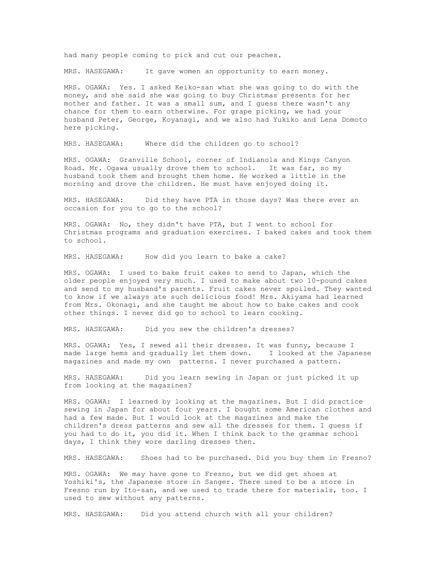had many people coming to pick and cut our peaches.

MRS. HASEGAWA: It gave women an opportunity to earn money.

MRS. OGAWA: Yes. I asked Keiko-san what she was going to do with the money, and she said she was going to buy Christmas presents for her mother and father. It was a small sum, and I guess there wasn't any chance for them to earn otherwise. For grape picking, we had your husband Peter, George, Koyanagi, and we also had Yukiko and Lena Domoto here picking.

MRS. HASEGAWA: Where did the children go to school?

MRS. OGAWA: Granville School, corner of Indianola and Kings Canyon Road. Mr. Ogawa usually drove them to school. It was far, so my husband took them and brought them home. He worked a little in the morning and drove the children. He must have enjoyed doing it.

MRS. HASEGAWA: Did they have PTA in those days? Was there ever an occasion for you to go to the school?

MRS. OGAWA: No, they didn't have PTA, but I went to school for Christmas programs and graduation exercises. I baked cakes and took them to school.

MRS. HASEGAWA: How did you learn to bake a cake?

MRS. OGAWA: I used to bake fruit cakes to send to Japan, which the older people enjoyed very much. I used to make about two 10-pound cakes and send to my husband's parents. Fruit cakes never spoiled. They wanted to know if we always ate such delicious food! Mrs. Akiyama had learned from Mrs. Okonagi, and she taught me about how to bake cakes and cook other things. I never did go to school to learn cooking.

MRS. HASEGAWA: Did you sew the children's dresses?

MRS. OGAWA: Yes, I sewed all their dresses. It was funny, because I made large hems and gradually let them down. I looked at the Japanese magazines and made my own patterns. I never purchased a pattern.

MRS. HASEGAWA: Did you learn sewing in Japan or just picked it up from looking at the magazines?

MRS. OGAWA: I learned by looking at the magazines. But I did practice sewing in Japan for about four years. I bought some American clothes and had a few made. But I would look at the magazines and make the children's dress patterns and sew all the dresses for them. I guess if you had to do it, you did it. When I think back to the grammar school days, I think they wore darling dresses then.

MRS. HASEGAWA: Shoes had to be purchased. Did you buy them in Fresno?

MRS. OGAWA: We may have gone to Fresno, but we did get shoes at Yoshiki's, the Japanese store in Sanger. There used to be a store in Fresno run by Ito-san, and we used to trade there for materials, too. I used to sew without any patterns.

MRS. HASEGAWA: Did you attend church with all your children?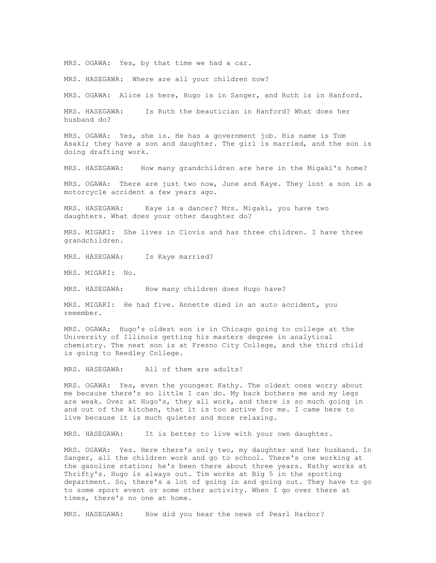MRS. OGAWA: Yes, by that time we had a car.

MRS. HASEGAWA: Where are all your children now?

MRS. OGAWA: Alice is here, Hugo is in Sanger, and Ruth is in Hanford.

MRS. HASEGAWA: Is Ruth the beautician in Hanford? What does her husband do?

MRS. OGAWA: Yes, she is. He has a government job. His name is Tom Asaki; they have a son and daughter. The girl is married, and the son is doing drafting work.

MRS. HASEGAWA: How many grandchildren are here in the Migaki's home?

MRS. OGAWA: There are just two now, June and Kaye. They lost a son in a motorcycle accident a few years ago.

MRS. HASEGAWA: Kaye is a dancer? Mrs. Migaki, you have two daughters. What does your other daughter do?

MRS. MIGAKI: She lives in Clovis and has three children. I have three grandchildren.

MRS. HASEGAWA: Is Kaye married?

MRS. MIGAKI: No.

MRS. HASEGAWA: How many children does Hugo have?

MRS. MIGAKI: He had five. Annette died in an auto accident, you remember.

MRS. OGAWA: Hugo's oldest son is in Chicago going to college at the University of Illinois getting his masters degree in analytical chemistry. The next son is at Fresno City College, and the third child is going to Reedley College.

MRS. HASEGAWA: All of them are adults!

MRS. OGAWA: Yes, even the youngest Kathy. The oldest ones worry about me because there's so little I can do. My back bothers me and my legs are weak. Over at Hugo's, they all work, and there is so much going in and out of the kitchen, that it is too active for me. I came here to live because it is much quieter and more relaxing.

MRS. HASEGAWA: It is better to live with your own daughter.

MRS. OGAWA: Yes. Here there's only two, my daughter and her husband. In Sanger, all the children work and go to school. There's one working at the gasoline station; he's been there about three years. Kathy works at Thrifty's. Hugo is always out. Tim works at Big 5 in the sporting department. So, there's a lot of going in and going out. They have to go to some sport event or some other activity. When I go over there at times, there's no one at home.

MRS. HASEGAWA: How did you hear the news of Pearl Harbor?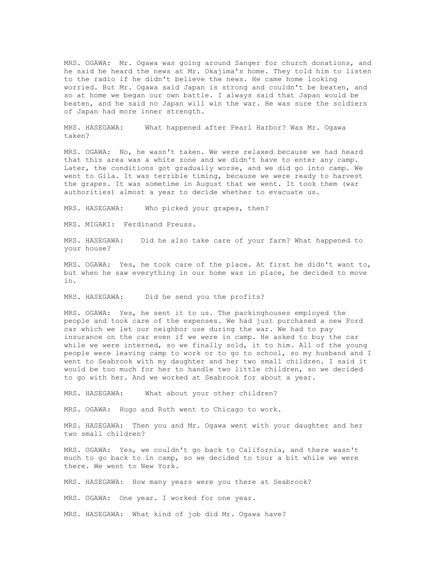MRS. OGAWA: Mr. Ogawa was going around Sanger for church donations, and he said he heard the news at Mr. Okajima's home. They told him to listen to the radio if he didn't believe the news. He came home looking worried. But Mr. Ogawa said Japan is strong and couldn't be beaten, and so at home we began our own battle. I always said that Japan would be beaten, and he said no Japan will win the war. He was sure the soldiers of Japan had more inner strength.

MRS. HASEGAWA: What happened after Pearl Harbor? Was Mr. Ogawa taken?

MRS. OGAWA: No, he wasn't taken. We were relaxed because we had heard that this area was a white zone and we didn't have to enter any camp. Later, the conditions got gradually worse, and we did go into camp. We went to Gila. It was terrible timing, because we were ready to harvest the grapes. It was sometime in August that we went. It took them (war authorities) almost a year to decide whether to evacuate us.

MRS. HASEGAWA: Who picked your grapes, then?

MRS. MIGAKI: Ferdinand Preuss.

MRS. HASEGAWA: Did he also take care of your farm? What happened to your house?

MRS. OGAWA: Yes, he took care of the place. At first he didn't want to, but when he saw everything in our home was in place, he decided to move in.

MRS. HASEGAWA: Did he send you the profits?

MRS. OGAWA: Yes, he sent it to us. The packinghouses employed the people and took care of the expenses. We had just purchased a new Ford car which we let our neighbor use during the war. We had to pay insurance on the car even if we were in camp. He asked to buy the car while we were interned, so we finally sold, it to him. All of the young people were leaving camp to work or to go to school, so my husband and I went to Seabrook with my daughter and her two small children. I said it would be too much for her to handle two little children, so we decided to go with her. And we worked at Seabrook for about a year.

MRS. HASEGAWA: What about your other children?

MRS. OGAWA: Hugo and Ruth went to Chicago to work.

MRS. HASEGAWA: Then you and Mr. Ogawa went with your daughter and her two small children?

MRS. OGAWA: Yes, we couldn't go back to California, and there wasn't much to go back to in camp, so we decided to tour a bit while we were there. We went to New York.

MRS. HASEGAWA: How many years were you there at Seabrook?

MRS. OGAWA: One year. I worked for one year.

MRS. HASEGAWA: What kind of job did Mr. Ogawa have?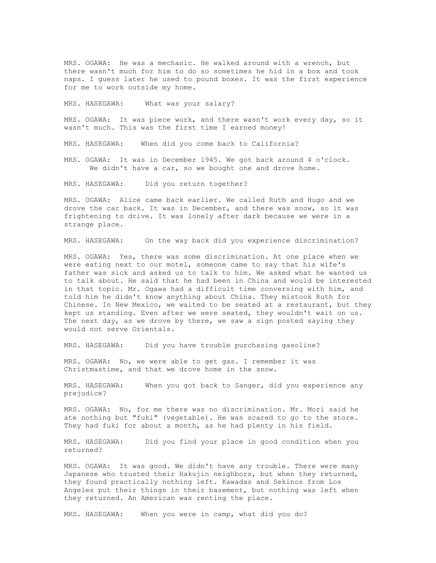MRS. OGAWA: He was a mechanic. He walked around with a wrench, but there wasn't much for him to do so sometimes he hid in a box and took naps. I guess later he used to pound boxes. It was the first experience for me to work outside my home.

MRS. HASEGAWA: What was your salary?

MRS. OGAWA: It was piece work, and there wasn't work every day, so it wasn't much. This was the first time I earned money!

MRS. HASEGAWA: When did you come back to California?

MRS. OGAWA: It was in December 1945. We got back around 4 o'clock. We didn't have a car, so we bought one and drove home.

MRS. HASEGAWA: Did you return together?

MRS. OGAWA: Alice came back earlier. We called Ruth and Hugo and we drove the car back. It was in December, and there was snow, so it was frightening to drive. It was lonely after dark because we were in a strange place.

MRS. HASEGAWA: On the way back did you experience discrimination?

MRS. OGAWA: Yes, there was some discrimination. At one place when we were eating next to our motel, someone came to say that his wife's father was sick and asked us to talk to him. We asked what he wanted us to talk about. He said that he had been in China and would be interested in that topic. Mr. Ogawa had a difficult time conversing with him, and told him he didn't know anything about China. They mistook Ruth for Chinese. In New Mexico, we waited to be seated at a restaurant, but they kept us standing. Even after we were seated, they wouldn't wait on us. The next day, as we drove by there, we saw a sign posted saying they would not serve Orientals.

MRS. HASEGAWA: Did you have trouble purchasing gasoline?

MRS. OGAWA: No, we were able to get gas. I remember it was Christmastime, and that we drove home in the snow.

MRS. HASEGAWA: When you got back to Sanger, did you experience any prejudice?

MRS. OGAWA: No, for me there was no discrimination. Mr. Mori said he ate nothing but "fuki" (vegetable). He was scared to go to the store. They had fuki for about a month, as he had plenty in his field.

MRS. HASEGAWA: Did you find your place in good condition when you returned?

MRS. OGAWA: It was good. We didn't have any trouble. There were many Japanese who trusted their Hakujin neighbors, but when they returned, they found practically nothing left. Kawadas and Sekinos from Los Angeles put their things in their basement, but nothing was left when they returned. An American was renting the place.

MRS. HASEGAWA: When you were in camp, what did you do?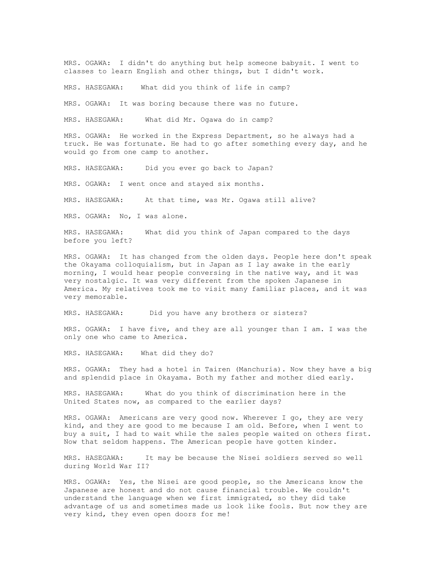MRS. OGAWA: I didn't do anything but help someone babysit. I went to classes to learn English and other things, but I didn't work.

MRS. HASEGAWA: What did you think of life in camp?

MRS. OGAWA: It was boring because there was no future.

MRS. HASEGAWA: What did Mr. Ogawa do in camp?

MRS. OGAWA: He worked in the Express Department, so he always had a truck. He was fortunate. He had to go after something every day, and he would go from one camp to another.

MRS. HASEGAWA: Did you ever go back to Japan?

MRS. OGAWA: I went once and stayed six months.

MRS. HASEGAWA: At that time, was Mr. Ogawa still alive?

MRS. OGAWA: No, I was alone.

MRS. HASEGAWA: What did you think of Japan compared to the days before you left?

MRS. OGAWA: It has changed from the olden days. People here don't speak the Okayama colloquialism, but in Japan as I lay awake in the early morning, I would hear people conversing in the native way, and it was very nostalgic. It was very different from the spoken Japanese in America. My relatives took me to visit many familiar places, and it was very memorable.

MRS. HASEGAWA: Did you have any brothers or sisters?

MRS. OGAWA: I have five, and they are all younger than I am. I was the only one who came to America.

MRS. HASEGAWA: What did they do?

MRS. OGAWA: They had a hotel in Tairen (Manchuria). Now they have a big and splendid place in Okayama. Both my father and mother died early.

MRS. HASEGAWA: What do you think of discrimination here in the United States now, as compared to the earlier days?

MRS. OGAWA: Americans are very good now. Wherever I go, they are very kind, and they are good to me because I am old. Before, when I went to buy a suit, I had to wait while the sales people waited on others first. Now that seldom happens. The American people have gotten kinder.

MRS. HASEGAWA: It may be because the Nisei soldiers served so well during World War II?

MRS. OGAWA: Yes, the Nisei are good people, so the Americans know the Japanese are honest and do not cause financial trouble. We couldn't understand the language when we first immigrated, so they did take advantage of us and sometimes made us look like fools. But now they are very kind, they even open doors for me!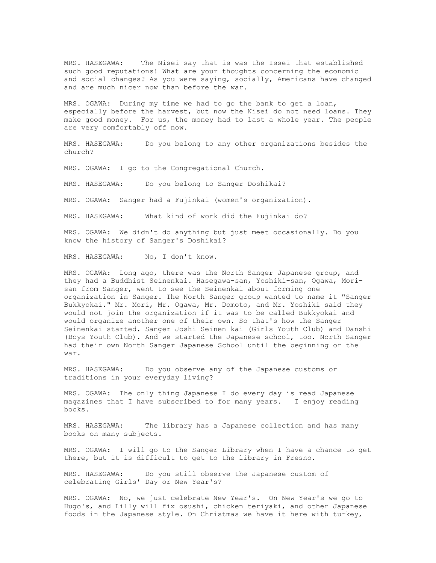MRS. HASEGAWA: The Nisei say that is was the Issei that established such good reputations! What are your thoughts concerning the economic and social changes? As you were saying, socially, Americans have changed and are much nicer now than before the war.

MRS. OGAWA: During my time we had to go the bank to get a loan, especially before the harvest, but now the Nisei do not need loans. They make good money. For us, the money had to last a whole year. The people are very comfortably off now.

MRS. HASEGAWA: Do you belong to any other organizations besides the church?

MRS. OGAWA: I go to the Congregational Church.

MRS. HASEGAWA: Do you belong to Sanger Doshikai?

MRS. OGAWA: Sanger had a Fujinkai (women's organization).

MRS. HASEGAWA: What kind of work did the Fujinkai do?

MRS. OGAWA: We didn't do anything but just meet occasionally. Do you know the history of Sanger's Doshikai?

MRS. HASEGAWA: No, I don't know.

MRS. OGAWA: Long ago, there was the North Sanger Japanese group, and they had a Buddhist Seinenkai. Hasegawa-san, Yoshiki-san, Ogawa, Morisan from Sanger, went to see the Seinenkai about forming one organization in Sanger. The North Sanger group wanted to name it "Sanger Bukkyokai." Mr. Mori, Mr. Ogawa, Mr. Domoto, and Mr. Yoshiki said they would not join the organization if it was to be called Bukkyokai and would organize another one of their own. So that's how the Sanger Seinenkai started. Sanger Joshi Seinen kai (Girls Youth Club) and Danshi (Boys Youth Club). And we started the Japanese school, too. North Sanger had their own North Sanger Japanese School until the beginning or the war.

MRS. HASEGAWA: Do you observe any of the Japanese customs or traditions in your everyday living?

MRS. OGAWA: The only thing Japanese I do every day is read Japanese magazines that I have subscribed to for many years. I enjoy reading books.

MRS. HASEGAWA: The library has a Japanese collection and has many books on many subjects.

MRS. OGAWA: I will go to the Sanger Library when I have a chance to get there, but it is difficult to get to the library in Fresno.

MRS. HASEGAWA: Do you still observe the Japanese custom of celebrating Girls' Day or New Year's?

MRS. OGAWA: No, we just celebrate New Year's. On New Year's we go to Hugo's, and Lilly will fix osushi, chicken teriyaki, and other Japanese foods in the Japanese style. On Christmas we have it here with turkey,